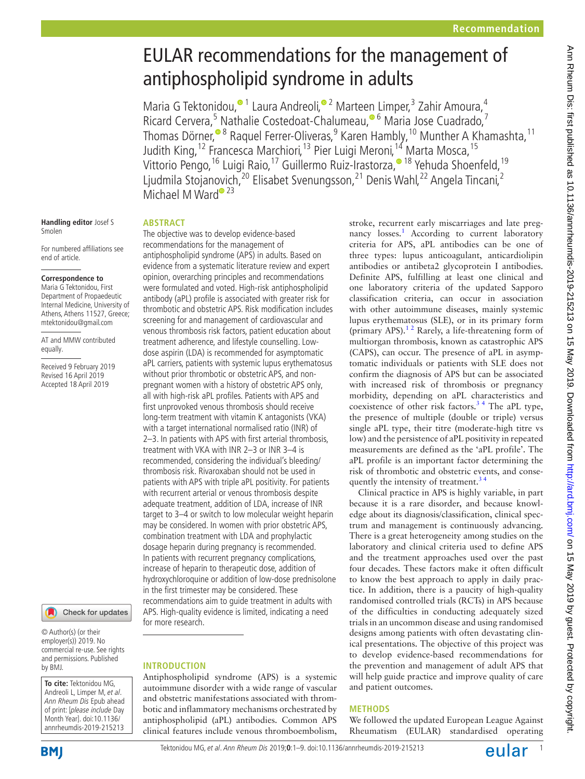# EULAR recommendations for the management of antiphospholipid syndrome in adults

Maria G Tektonidou[,](http://orcid.org/0000-0002-9107-3218)<sup>o 1</sup> Laura Andreoli,<sup>o 2</sup> Marteen Limper,<sup>3</sup> Zahir Amoura,<sup>4</sup> Ricard Cervera,<sup>5</sup> Nathalie Costedoat-Chalumeau,<sup>® 6</sup> Maria Jose Cuadrado,<sup>7</sup> Thomas Dörner,<sup>® 8</sup> Raquel Ferrer-Oliveras,<sup>9</sup> Karen Hambly,<sup>10</sup> Munther A Khamashta,<sup>11</sup> Judith King,<sup>12</sup> Francesca Marchiori,<sup>13</sup> Pier Luigi Meroni,<sup>14</sup> Marta Mosca,<sup>15</sup> Vittorio Pengo,<sup>16</sup> Luigi Raio,<sup>17</sup> Guillermo Ruiz-Irastorza,<sup>® 18</sup> Yehuda Shoenfeld,<sup>19</sup> Ljudmila Stojan[ov](http://orcid.org/0000-0003-1857-9367)ich,<sup>20</sup> Elisabet Svenungsson,<sup>21</sup> Denis Wahl,<sup>22</sup> Angela Tincani,<sup>2</sup> Michael M Ward<sup>® 23</sup>

#### **Handling editor** Josef S Smolen

For numbered affiliations see end of article.

#### **Correspondence to**

Maria G Tektonidou, First Department of Propaedeutic Internal Medicine, University of Athens, Athens 11527, Greece; mtektonidou@gmail.com

AT and MMW contributed equally.

Received 9 February 2019 Revised 16 April 2019 Accepted 18 April 2019



© Author(s) (or their employer(s)) 2019. No commercial re-use. See rights and permissions. Published by BMJ.

**To cite:** Tektonidou MG, Andreoli L, Limper M, et al. Ann Rheum Dis Epub ahead of print: [please include Day Month Year]. doi:10.1136/ annrheumdis-2019-215213

**BMI** 

# **Abstract**

The objective was to develop evidence-based recommendations for the management of antiphospholipid syndrome (APS) in adults. Based on evidence from a systematic literature review and expert opinion, overarching principles and recommendations were formulated and voted. High-risk antiphospholipid antibody (aPL) profile is associated with greater risk for thrombotic and obstetric APS. Risk modification includes screening for and management of cardiovascular and venous thrombosis risk factors, patient education about treatment adherence, and lifestyle counselling. Lowdose aspirin (LDA) is recommended for asymptomatic aPL carriers, patients with systemic lupus erythematosus without prior thrombotic or obstetric APS, and nonpregnant women with a history of obstetric APS only, all with high-risk aPL profiles. Patients with APS and first unprovoked venous thrombosis should receive long-term treatment with vitamin K antagonists (VKA) with a target international normalised ratio (INR) of 2–3. In patients with APS with first arterial thrombosis, treatment with VKA with INR 2–3 or INR 3–4 is recommended, considering the individual's bleeding/ thrombosis risk. Rivaroxaban should not be used in patients with APS with triple aPL positivity. For patients with recurrent arterial or venous thrombosis despite adequate treatment, addition of LDA, increase of INR target to 3–4 or switch to low molecular weight heparin may be considered. In women with prior obstetric APS, combination treatment with LDA and prophylactic dosage heparin during pregnancy is recommended. In patients with recurrent pregnancy complications, increase of heparin to therapeutic dose, addition of hydroxychloroquine or addition of low-dose prednisolone in the first trimester may be considered. These recommendations aim to guide treatment in adults with APS. High-quality evidence is limited, indicating a need for more research.

# **Introduction**

Antiphospholipid syndrome (APS) is a systemic autoimmune disorder with a wide range of vascular and obstetric manifestations associated with thrombotic and inflammatory mechanisms orchestrated by antiphospholipid (aPL) antibodies. Common APS clinical features include venous thromboembolism,

stroke, recurrent early miscarriages and late preg-nancy losses.<sup>[1](#page-7-0)</sup> According to current laboratory criteria for APS, aPL antibodies can be one of three types: lupus anticoagulant, anticardiolipin antibodies or antibeta2 glycoprotein I antibodies. Definite APS, fulfilling at least one clinical and one laboratory criteria of the updated Sapporo classification criteria, can occur in association with other autoimmune diseases, mainly systemic lupus erythematosus (SLE), or in its primary form (primary APS). $12$  Rarely, a life-threatening form of multiorgan thrombosis, known as catastrophic APS (CAPS), can occur. The presence of aPL in asymptomatic individuals or patients with SLE does not confirm the diagnosis of APS but can be associated with increased risk of thrombosis or pregnancy morbidity, depending on aPL characteristics and coexistence of other risk factors. $3<sup>4</sup>$  The aPL type, the presence of multiple (double or triple) versus single aPL type, their titre (moderate-high titre vs low) and the persistence of aPL positivity in repeated measurements are defined as the 'aPL profile'. The aPL profile is an important factor determining the risk of thrombotic and obstetric events, and consequently the intensity of treatment.<sup>34</sup>

Clinical practice in APS is highly variable, in part because it is a rare disorder, and because knowledge about its diagnosis/classification, clinical spectrum and management is continuously advancing. There is a great heterogeneity among studies on the laboratory and clinical criteria used to define APS and the treatment approaches used over the past four decades. These factors make it often difficult to know the best approach to apply in daily practice. In addition, there is a paucity of high-quality randomised controlled trials (RCTs) in APS because of the difficulties in conducting adequately sized trials in an uncommon disease and using randomised designs among patients with often devastating clinical presentations. The objective of this project was to develop evidence-based recommendations for the prevention and management of adult APS that will help guide practice and improve quality of care and patient outcomes.

# **Methods**

We followed the updated European League Against Rheumatism (EULAR) standardised operating

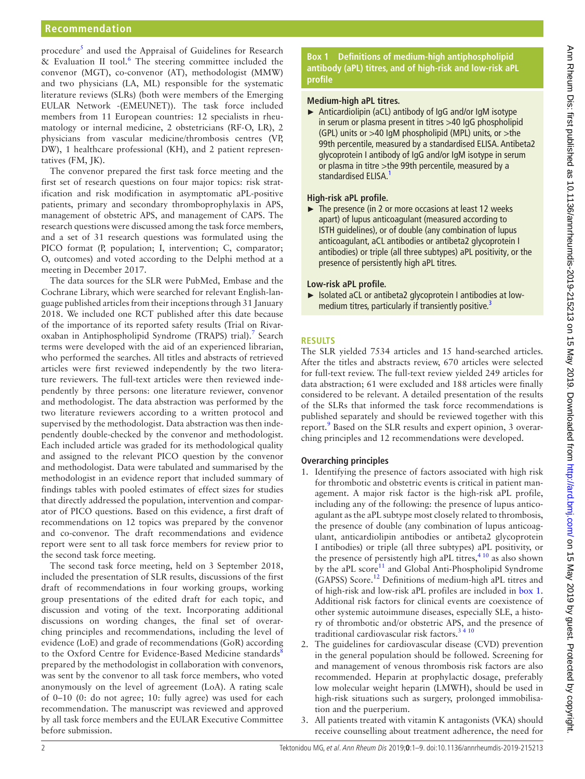procedure<sup>[5](#page-7-2)</sup> and used the Appraisal of Guidelines for Research & Evaluation II tool.<sup>[6](#page-7-3)</sup> The steering committee included the convenor (MGT), co-convenor (AT), methodologist (MMW) and two physicians (LA, ML) responsible for the systematic literature reviews (SLRs) (both were members of the Emerging EULAR Network -(EMEUNET)). The task force included members from 11 European countries: 12 specialists in rheumatology or internal medicine, 2 obstetricians (RF-O, LR), 2 physicians from vascular medicine/thrombosis centres (VP, DW), 1 healthcare professional (KH), and 2 patient representatives (FM, JK).

The convenor prepared the first task force meeting and the first set of research questions on four major topics: risk stratification and risk modification in asymptomatic aPL-positive patients, primary and secondary thromboprophylaxis in APS, management of obstetric APS, and management of CAPS. The research questions were discussed among the task force members, and a set of 31 research questions was formulated using the PICO format (P, population; I, intervention; C, comparator; O, outcomes) and voted according to the Delphi method at a meeting in December 2017.

The data sources for the SLR were PubMed, Embase and the Cochrane Library, which were searched for relevant English-language published articles from their inceptions through 31 January 2018. We included one RCT published after this date because of the importance of its reported safety results (Trial on Rivaroxaban in Antiphospholipid Syndrome (TRAPS) trial).<sup>7</sup> Search terms were developed with the aid of an experienced librarian, who performed the searches. All titles and abstracts of retrieved articles were first reviewed independently by the two literature reviewers. The full-text articles were then reviewed independently by three persons: one literature reviewer, convenor and methodologist. The data abstraction was performed by the two literature reviewers according to a written protocol and supervised by the methodologist. Data abstraction was then independently double-checked by the convenor and methodologist. Each included article was graded for its methodological quality and assigned to the relevant PICO question by the convenor and methodologist. Data were tabulated and summarised by the methodologist in an evidence report that included summary of findings tables with pooled estimates of effect sizes for studies that directly addressed the population, intervention and comparator of PICO questions. Based on this evidence, a first draft of recommendations on 12 topics was prepared by the convenor and co-convenor. The draft recommendations and evidence report were sent to all task force members for review prior to the second task force meeting.

The second task force meeting, held on 3 September 2018, included the presentation of SLR results, discussions of the first draft of recommendations in four working groups, working group presentations of the edited draft for each topic, and discussion and voting of the text. Incorporating additional discussions on wording changes, the final set of overarching principles and recommendations, including the level of evidence (LoE) and grade of recommendations (GoR) according to the Oxford Centre for Evidence-Based Medicine standards<sup>[8](#page-7-5)</sup> prepared by the methodologist in collaboration with convenors, was sent by the convenor to all task force members, who voted anonymously on the level of agreement (LoA). A rating scale of 0–10 (0: do not agree; 10: fully agree) was used for each recommendation. The manuscript was reviewed and approved by all task force members and the EULAR Executive Committee before submission.

**Box 1 Definitions of medium-high antiphospholipid antibody (aPL) titres, and of high-risk and low-risk aPL profile**

#### <span id="page-1-0"></span>**Medium-high aPL titres.**

► Anticardiolipin (aCL) antibody of IgG and/or IgM isotype in serum or plasma present in titres >40 IgG phospholipid (GPL) units or >40 IgM phospholipid (MPL) units, or >the 99th percentile, measured by a standardised ELISA. Antibeta2 glycoprotein I antibody of IgG and/or IgM isotype in serum or plasma in titre >the 99th percentile, measured by a standardised ELISA.<sup>[1](#page-7-0)</sup>

## **High-risk aPL profile.**

► The presence (in 2 or more occasions at least 12 weeks apart) of lupus anticoagulant (measured according to ISTH guidelines), or of double (any combination of lupus anticoagulant, aCL antibodies or antibeta2 glycoprotein I antibodies) or triple (all three subtypes) aPL positivity, or the presence of persistently high aPL titres.

#### **Low-risk aPL profile.**

► Isolated aCL or antibeta2 glycoprotein I antibodies at low-medium titres, particularly if transiently positive.<sup>[3](#page-7-1)</sup>

## **Results**

The SLR yielded 7534 articles and 15 hand-searched articles. After the titles and abstracts review, 670 articles were selected for full-text review. The full-text review yielded 249 articles for data abstraction; 61 were excluded and 188 articles were finally considered to be relevant. A detailed presentation of the results of the SLRs that informed the task force recommendations is published separately and should be reviewed together with this report.<sup>[9](#page-7-6)</sup> Based on the SLR results and expert opinion, 3 overarching principles and 12 recommendations were developed.

#### **Overarching principles**

- 1. Identifying the presence of factors associated with high risk for thrombotic and obstetric events is critical in patient management. A major risk factor is the high-risk aPL profile, including any of the following: the presence of lupus anticoagulant as the aPL subtype most closely related to thrombosis, the presence of double (any combination of lupus anticoagulant, anticardiolipin antibodies or antibeta2 glycoprotein I antibodies) or triple (all three subtypes) aPL positivity, or the presence of persistently high aPL titres, $410$  as also shown by the aPL score<sup>11</sup> and Global Anti-Phospholipid Syndrome (GAPSS) Score[.12](#page-7-9) Definitions of medium-high aPL titres and of high-risk and low-risk aPL profiles are included in [box](#page-1-0) 1. Additional risk factors for clinical events are coexistence of other systemic autoimmune diseases, especially SLE, a history of thrombotic and/or obstetric APS, and the presence of traditional cardiovascular risk factors[.3 4 10](#page-7-1)
- 2. The guidelines for cardiovascular disease (CVD) prevention in the general population should be followed. Screening for and management of venous thrombosis risk factors are also recommended. Heparin at prophylactic dosage, preferably low molecular weight heparin (LMWH), should be used in high-risk situations such as surgery, prolonged immobilisation and the puerperium.
- 3. All patients treated with vitamin K antagonists (VKA) should receive counselling about treatment adherence, the need for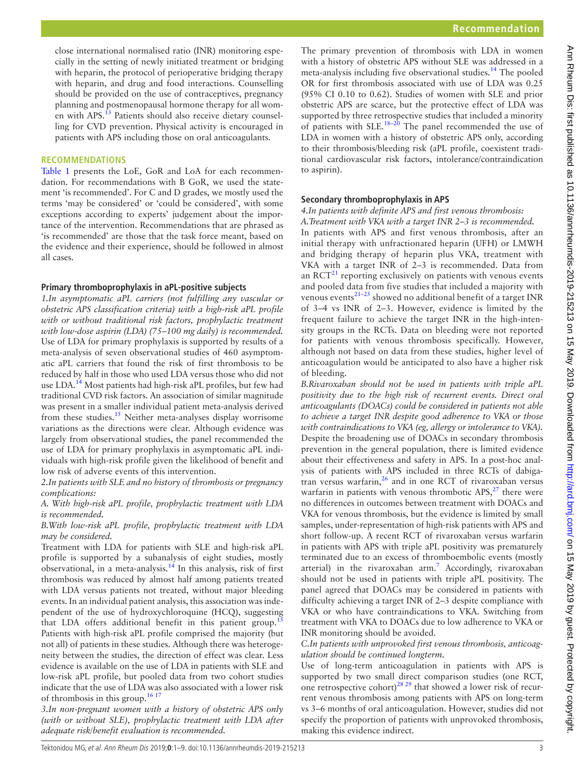The primary prevention of thrombosis with LDA in women with a history of obstetric APS without SLE was addressed in a meta-analysis including five observational studies[.14](#page-7-11) The pooled OR for first thrombosis associated with use of LDA was 0.25 (95% CI 0.10 to 0.62). Studies of women with SLE and prior obstetric APS are scarce, but the protective effect of LDA was supported by three retrospective studies that included a minority of patients with SLE.<sup>18–20</sup> The panel recommended the use of LDA in women with a history of obstetric APS only, according to their thrombosis/bleeding risk (aPL profile, coexistent traditional cardiovascular risk factors, intolerance/contraindication to aspirin).

## **Secondary thromboprophylaxis in APS**

## *4.In patients with definite APS and first venous thrombosis:*

*A.Treatment with VKA with a target INR 2–3 is recommended.* In patients with APS and first venous thrombosis, after an initial therapy with unfractionated heparin (UFH) or LMWH and bridging therapy of heparin plus VKA, treatment with VKA with a target INR of 2–3 is recommended. Data from an  $\mathrm{RCT}^{21}$  reporting exclusively on patients with venous events and pooled data from five studies that included a majority with venous events $21-25$  showed no additional benefit of a target INR of 3–4 vs INR of 2–3. However, evidence is limited by the frequent failure to achieve the target INR in the high-intensity groups in the RCTs. Data on bleeding were not reported for patients with venous thrombosis specifically. However, although not based on data from these studies, higher level of anticoagulation would be anticipated to also have a higher risk of bleeding.

*B.Rivaroxaban should not be used in patients with triple aPL positivity due to the high risk of recurrent events. Direct oral anticoagulants (DOACs) could be considered in patients not able to achieve a target INR despite good adherence to VKA or those with contraindications to VKA (eg, allergy or intolerance to VKA).* Despite the broadening use of DOACs in secondary thrombosis prevention in the general population, there is limited evidence about their effectiveness and safety in APS. In a post-hoc analysis of patients with APS included in three RCTs of dabigatran versus warfarin, $26$  and in one RCT of rivaroxaban versus warfarin in patients with venous thrombotic  $APS<sub>1</sub><sup>27</sup>$  $APS<sub>1</sub><sup>27</sup>$  $APS<sub>1</sub><sup>27</sup>$  there were no differences in outcomes between treatment with DOACs and VKA for venous thrombosis, but the evidence is limited by small samples, under-representation of high-risk patients with APS and short follow-up. A recent RCT of rivaroxaban versus warfarin in patients with APS with triple aPL positivity was prematurely terminated due to an excess of thromboembolic events (mostly arterial) in the rivaroxaban arm.<sup>7</sup> Accordingly, rivaroxaban should not be used in patients with triple aPL positivity. The panel agreed that DOACs may be considered in patients with difficulty achieving a target INR of 2–3 despite compliance with VKA or who have contraindications to VKA. Switching from treatment with VKA to DOACs due to low adherence to VKA or INR monitoring should be avoided.

*C.In patients with unprovoked first venous thrombosis, anticoagulation should be continued longterm.*

Use of long-term anticoagulation in patients with APS is supported by two small direct comparison studies (one RCT, one retrospective cohort)<sup>[28 29](#page-8-2)</sup> that showed a lower risk of recurrent venous thrombosis among patients with APS on long-term vs 3–6 months of oral anticoagulation. However, studies did not specify the proportion of patients with unprovoked thrombosis, making this evidence indirect.

# **Recommendati ons**

[Table](#page-3-0) 1 presents the LoE, GoR and LoA for each recommendation. For recommendations with B GoR, we used the statement 'is recommended'. For C and D grades, we mostly used the terms 'may be considered' or 'could be considered', with some exceptions according to experts' judgement about the importance of the intervention. Recommendations that are phrased as 'is recommended' are those that the task force meant, based on the evidence and their experience, should be followed in almost all cases.

close international normalised ratio (INR) monitoring especially in the setting of newly initiated treatment or bridging with heparin, the protocol of perioperative bridging therapy with heparin, and drug and food interactions. Counselling should be provided on the use of contraceptives, pregnancy planning and postmenopausal hormone therapy for all wom-en with APS.<sup>[13](#page-7-10)</sup> Patients should also receive dietary counselling for CVD prevention. Physical activity is encouraged in patients with APS including those on oral anticoagulants.

#### **Primary thromboprophylaxis in aPL-positive subjects**

*1.In asymptomatic aPL carriers (not fulfilling any vascular or obstetric APS classification criteria) with a high-risk aPL profile with or without traditional risk factors, prophylactic treatment with low-dose aspirin (LDA) (75–100 mg daily) is recommended.* Use of LDA for primary prophylaxis is supported by results of a meta-analysis of seven observational studies of 460 asymptomatic aPL carriers that found the risk of first thrombosis to be reduced by half in those who used LDA versus those who did not use LDA.<sup>14</sup> Most patients had high-risk aPL profiles, but few had traditional CVD risk factors. An association of similar magnitude was present in a smaller individual patient meta-analysis derived from these studies.<sup>[15](#page-7-12)</sup> Neither meta-analyses display worrisome variations as the directions were clear. Although evidence was largely from observational studies, the panel recommended the use of LDA for primary prophylaxis in asymptomatic aPL individuals with high-risk profile given the likelihood of benefit and low risk of adverse events of this intervention.

*2.In patients with SLE and no history of thrombosis or pregnancy complications:*

*A. With high-risk aPL profile, prophylactic treatment with LDA is recommended.*

*B.With low-risk aPL profile, prophylactic treatment with LDA may be considered.*

Treatment with LDA for patients with SLE and high-risk aPL profile is supported by a subanalysis of eight studies, mostly observational, in a meta-analysis.<sup>14</sup> In this analysis, risk of first thrombosis was reduced by almost half among patients treated with LDA versus patients not treated, without major bleeding events. In an individual patient analysis, this association was independent of the use of hydroxychloroquine (HCQ), suggesting that LDA offers additional benefit in this patient group.<sup>1</sup> Patients with high-risk aPL profile comprised the majority (but not all) of patients in these studies. Although there was heterogeneity between the studies, the direction of effect was clear. Less evidence is available on the use of LDA in patients with SLE and low-risk aPL profile, but pooled data from two cohort studies indicate that the use of LDA was also associated with a lower risk of thrombosis in this group.[16 17](#page-7-13)

*3.In non-pregnant women with a history of obstetric APS only (with or without SLE), prophylactic treatment with LDA after adequate risk/benefit evaluation is recommended.*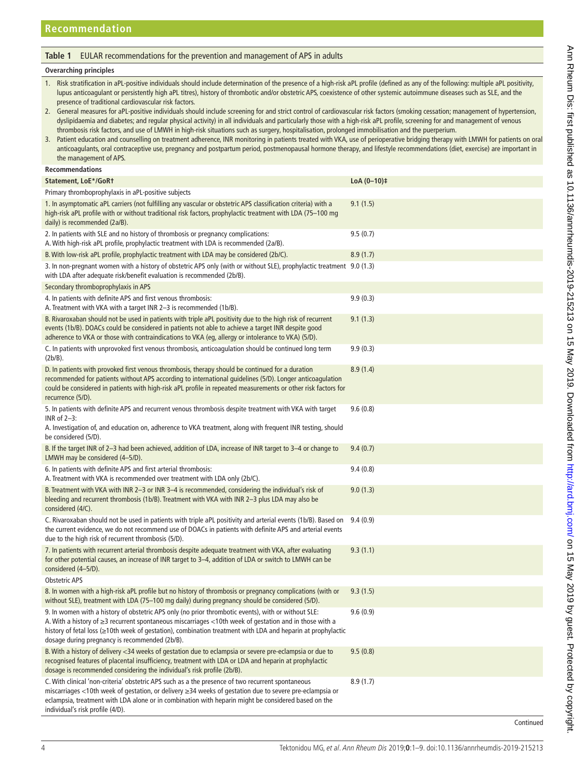# <span id="page-3-0"></span>**Table 1** EULAR recommendations for the prevention and management of APS in adults

#### **Overarching principles**

| Risk stratification in aPL-positive individuals should include determination of the presence of a high-risk aPL profile (defined as any of the following: multiple aPL positivity,                                       |
|--------------------------------------------------------------------------------------------------------------------------------------------------------------------------------------------------------------------------|
| lupus anticoaqulant or persistently high aPL titres), history of thrombotic and/or obstetric APS, coexistence of other systemic autoimmune diseases such as SLE, and the                                                 |
| presence of traditional cardiovascular risk factors.                                                                                                                                                                     |
| A According to the Catholical School of the Construction of the Construction of the Construction of the construction of the construction of the construction of the construction of the construction of the construction |

2. General measures for aPL-positive individuals should include screening for and strict control of cardiovascular risk factors (smoking cessation; management of hypertension, dyslipidaemia and diabetes; and regular physical activity) in all individuals and particularly those with a high-risk aPL profile, screening for and management of venous thrombosis risk factors, and use of LMWH in high-risk situations such as surgery, hospitalisation, prolonged immobilisation and the puerperium.

3. Patient education and counselling on treatment adherence, INR monitoring in patients treated with VKA, use of perioperative bridging therapy with LMWH for patients on oral anticoagulants, oral contraceptive use, pregnancy and postpartum period, postmenopausal hormone therapy, and lifestyle recommendations (diet, exercise) are important in the management of APS.

# **Recommendations**

| Statement, LoE*/GoRt                                                                                                                                                                                                                                                                                                                                                           | $LoA (0-10)$ ‡ |
|--------------------------------------------------------------------------------------------------------------------------------------------------------------------------------------------------------------------------------------------------------------------------------------------------------------------------------------------------------------------------------|----------------|
| Primary thromboprophylaxis in aPL-positive subjects                                                                                                                                                                                                                                                                                                                            |                |
| 1. In asymptomatic aPL carriers (not fulfilling any vascular or obstetric APS classification criteria) with a<br>high-risk aPL profile with or without traditional risk factors, prophylactic treatment with LDA (75-100 mg<br>daily) is recommended (2a/B).                                                                                                                   | 9.1(1.5)       |
| 2. In patients with SLE and no history of thrombosis or pregnancy complications:<br>A. With high-risk aPL profile, prophylactic treatment with LDA is recommended (2a/B).                                                                                                                                                                                                      | 9.5(0.7)       |
| B. With low-risk aPL profile, prophylactic treatment with LDA may be considered (2b/C).                                                                                                                                                                                                                                                                                        | 8.9(1.7)       |
| 3. In non-pregnant women with a history of obstetric APS only (with or without SLE), prophylactic treatment 9.0 (1.3)<br>with LDA after adequate risk/benefit evaluation is recommended (2b/B).                                                                                                                                                                                |                |
| Secondary thromboprophylaxis in APS                                                                                                                                                                                                                                                                                                                                            |                |
| 4. In patients with definite APS and first venous thrombosis:<br>A. Treatment with VKA with a target INR 2-3 is recommended (1b/B).                                                                                                                                                                                                                                            | 9.9(0.3)       |
| B. Rivaroxaban should not be used in patients with triple aPL positivity due to the high risk of recurrent<br>events (1b/B). DOACs could be considered in patients not able to achieve a target INR despite good<br>adherence to VKA or those with contraindications to VKA (eg, allergy or intolerance to VKA) (5/D).                                                         | 9.1(1.3)       |
| C. In patients with unprovoked first venous thrombosis, anticoagulation should be continued long term<br>(2b/B).                                                                                                                                                                                                                                                               | 9.9(0.3)       |
| D. In patients with provoked first venous thrombosis, therapy should be continued for a duration<br>recommended for patients without APS according to international quidelines (5/D). Longer anticoagulation<br>could be considered in patients with high-risk aPL profile in repeated measurements or other risk factors for<br>recurrence (5/D).                             | 8.9(1.4)       |
| 5. In patients with definite APS and recurrent venous thrombosis despite treatment with VKA with target<br>INR of 2-3:<br>A. Investigation of, and education on, adherence to VKA treatment, along with frequent INR testing, should<br>be considered (5/D).                                                                                                                   | 9.6(0.8)       |
| B. If the target INR of 2–3 had been achieved, addition of LDA, increase of INR target to 3–4 or change to<br>LMWH may be considered (4–5/D).                                                                                                                                                                                                                                  | 9.4(0.7)       |
| 6. In patients with definite APS and first arterial thrombosis:<br>A. Treatment with VKA is recommended over treatment with LDA only (2b/C).                                                                                                                                                                                                                                   | 9.4(0.8)       |
| B. Treatment with VKA with INR 2-3 or INR 3-4 is recommended, considering the individual's risk of<br>bleeding and recurrent thrombosis (1b/B). Treatment with VKA with INR 2–3 plus LDA may also be<br>considered (4/C).                                                                                                                                                      | 9.0(1.3)       |
| C. Rivaroxaban should not be used in patients with triple aPL positivity and arterial events (1b/B). Based on<br>the current evidence, we do not recommend use of DOACs in patients with definite APS and arterial events<br>due to the high risk of recurrent thrombosis (5/D).                                                                                               | 9.4(0.9)       |
| 7. In patients with recurrent arterial thrombosis despite adequate treatment with VKA, after evaluating<br>for other potential causes, an increase of INR target to 3-4, addition of LDA or switch to LMWH can be<br>considered (4-5/D).                                                                                                                                       | 9.3(1.1)       |
| <b>Obstetric APS</b>                                                                                                                                                                                                                                                                                                                                                           |                |
| 8. In women with a high-risk aPL profile but no history of thrombosis or pregnancy complications (with or<br>without SLE), treatment with LDA (75–100 mg daily) during pregnancy should be considered (5/D).                                                                                                                                                                   | 9.3(1.5)       |
| 9. In women with a history of obstetric APS only (no prior thrombotic events), with or without SLE:<br>A. With a history of ≥3 recurrent spontaneous miscarriages <10th week of gestation and in those with a<br>history of fetal loss (≥10th week of gestation), combination treatment with LDA and heparin at prophylactic<br>dosage during pregnancy is recommended (2b/B). | 9.6(0.9)       |
| B. With a history of delivery <34 weeks of gestation due to eclampsia or severe pre-eclampsia or due to<br>recognised features of placental insufficiency, treatment with LDA or LDA and heparin at prophylactic<br>dosage is recommended considering the individual's risk profile (2b/B).                                                                                    | 9.5(0.8)       |
| C. With clinical 'non-criteria' obstetric APS such as a the presence of two recurrent spontaneous<br>miscarriages <10th week of gestation, or delivery ≥34 weeks of gestation due to severe pre-eclampsia or<br>eclampsia, treatment with LDA alone or in combination with heparin might be considered based on the<br>individual's risk profile (4/D).                        | 8.9(1.7)       |
|                                                                                                                                                                                                                                                                                                                                                                                | Continued      |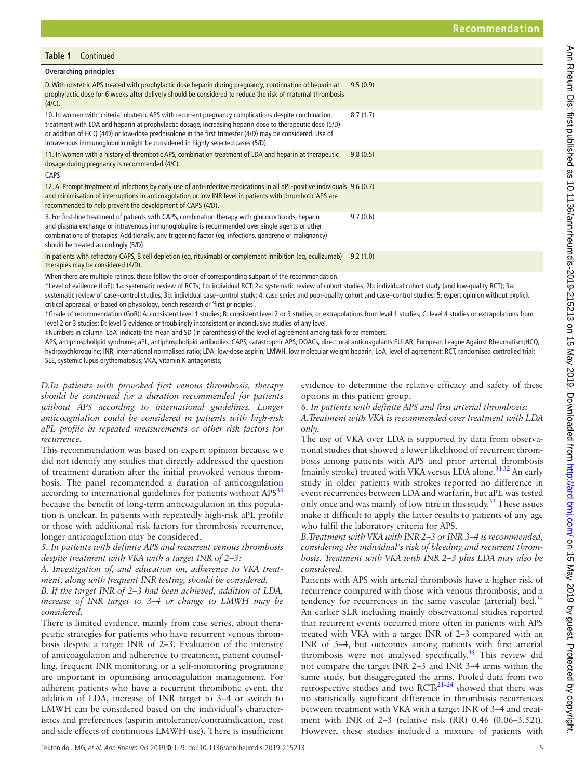| Table 1 | Continued |
|---------|-----------|
|         |           |

| <b>Overarching principles</b>                                                                                                                                                                                                                                                                                                                                                                                   |          |  |  |  |  |
|-----------------------------------------------------------------------------------------------------------------------------------------------------------------------------------------------------------------------------------------------------------------------------------------------------------------------------------------------------------------------------------------------------------------|----------|--|--|--|--|
| D. With obstetric APS treated with prophylactic dose heparin during pregnancy, continuation of heparin at<br>prophylactic dose for 6 weeks after delivery should be considered to reduce the risk of maternal thrombosis<br>(4/C).                                                                                                                                                                              | 9.5(0.9) |  |  |  |  |
| 10. In women with 'criteria' obstetric APS with recurrent pregnancy complications despite combination<br>treatment with LDA and heparin at prophylactic dosage, increasing heparin dose to therapeutic dose (5/D)<br>or addition of HCQ (4/D) or low-dose prednisolone in the first trimester (4/D) may be considered. Use of<br>intravenous immunoglobulin might be considered in highly selected cases (5/D). | 8.7(1.7) |  |  |  |  |
| 11. In women with a history of thrombotic APS, combination treatment of LDA and heparin at therapeutic<br>dosage during pregnancy is recommended (4/C).                                                                                                                                                                                                                                                         | 9.8(0.5) |  |  |  |  |
| <b>CAPS</b>                                                                                                                                                                                                                                                                                                                                                                                                     |          |  |  |  |  |
| 12. A. Prompt treatment of infections by early use of anti-infective medications in all aPL-positive individuals 9.6 (0.7)<br>and minimisation of interruptions in anticoagulation or low INR level in patients with thrombotic APS are<br>recommended to help prevent the development of CAPS (4/D).                                                                                                           |          |  |  |  |  |
| B. For first-line treatment of patients with CAPS, combination therapy with glucocorticoids, heparin<br>and plasma exchange or intravenous immunoglobulins is recommended over single agents or other<br>combinations of therapies. Additionally, any triggering factor (eg, infections, gangrene or malignancy)<br>should be treated accordingly (5/D).                                                        | 9.7(0.6) |  |  |  |  |
| In patients with refractory CAPS, B cell depletion (eq, rituximab) or complement inhibition (eq, eculizumab)<br>therapies may be considered (4/D).                                                                                                                                                                                                                                                              | 9.2(1.0) |  |  |  |  |
| William Alexander and Hallel and the conditions of all conditions of the conditions of the condition of Alexander and<br>والمتلوث والمستور                                                                                                                                                                                                                                                                      |          |  |  |  |  |

When there are multiple ratings, these follow the order of corresponding subpart of the recommendation.

\*Level of evidence (LoE): 1a: systematic review of RCTs; 1b: individual RCT; 2a: systematic review of cohort studies; 2b: individual cohort study (and low-quality RCT); 3a: systematic review of case–control studies; 3b: individual case–control study; 4: case series and poor-quality cohort and case–control studies; 5: expert opinion without explicit critical appraisal, or based on physiology, bench research or 'first principles'.

†Grade of recommendation (GoR): A: consistent level 1 studies; B: consistent level 2 or 3 studies, or extrapolations from level 1 studies; C: level 4 studies or extrapolations from level 2 or 3 studies; D: level 5 evidence or troublingly inconsistent or inconclusive studies of any level.

‡Numbers in column 'LoA' indicate the mean and SD (in parenthesis) of the level of agreement among task force members.

APS, antiphospholipid syndrome; aPL, antiphospholipid antibodies. CAPS, catastrophic APS; DOACs, direct oral anticoagulants;EULAR, European League Against Rheumatism;HCQ, hydroxychloroquine; INR, international normalised ratio; LDA, low-dose aspirin; LMWH, low molecular weight heparin; LoA, level of agreement; RCT, randomised controlled trial; SLE, systemic lupus erythematosus; VKA, vitamin K antagonists;

*D.In patients with provoked first venous thrombosis, therapy should be continued for a duration recommended for patients without APS according to international guidelines. Longer anticoagulation could be considered in patients with high-risk aPL profile in repeated measurements or other risk factors for recurrence.*

This recommendation was based on expert opinion because we did not identify any studies that directly addressed the question of treatment duration after the initial provoked venous thrombosis. The panel recommended a duration of anticoagulation according to international guidelines for patients without  $APS<sup>30</sup>$  $APS<sup>30</sup>$  $APS<sup>30</sup>$ because the benefit of long-term anticoagulation in this population is unclear. In patients with repeatedly high-risk aPL profile or those with additional risk factors for thrombosis recurrence, longer anticoagulation may be considered.

*5. In patients with definite APS and recurrent venous thrombosis despite treatment with VKA with a target INR of 2–3:*

*A. Investigation of, and education on, adherence to VKA treatment, along with frequent INR testing, should be considered.*

*B. If the target INR of 2–3 had been achieved, addition of LDA, increase of INR target to 3–4 or change to LMWH may be considered.*

There is limited evidence, mainly from case series, about therapeutic strategies for patients who have recurrent venous thrombosis despite a target INR of 2–3. Evaluation of the intensity of anticoagulation and adherence to treatment, patient counselling, frequent INR monitoring or a self-monitoring programme are important in optimising anticoagulation management. For adherent patients who have a recurrent thrombotic event, the addition of LDA, increase of INR target to 3–4 or switch to LMWH can be considered based on the individual's characteristics and preferences (aspirin intolerance/contraindication, cost and side effects of continuous LMWH use). There is insufficient

evidence to determine the relative efficacy and safety of these options in this patient group.

*6. In patients with definite APS and first arterial thrombosis: A.Treatment with VKA is recommended over treatment with LDA only.*

The use of VKA over LDA is supported by data from observational studies that showed a lower likelihood of recurrent thrombosis among patients with APS and prior arterial thrombosis (mainly stroke) treated with VKA versus LDA alone.<sup>[31 32](#page-8-4)</sup> An early study in older patients with strokes reported no difference in event recurrences between LDA and warfarin, but aPL was tested only once and was mainly of low titre in this study.<sup>33</sup> These issues make it difficult to apply the latter results to patients of any age who fulfil the laboratory criteria for APS.

*B.Treatment with VKA with INR 2–3 or INR 3–4 is recommended, considering the individual's risk of bleeding and recurrent thrombosis. Treatment with VKA with INR 2–3 plus LDA may also be considered.*

Patients with APS with arterial thrombosis have a higher risk of recurrence compared with those with venous thrombosis, and a tendency for recurrences in the same vascular (arterial) bed.<sup>[34](#page-8-6)</sup> An earlier SLR including mainly observational studies reported that recurrent events occurred more often in patients with APS treated with VKA with a target INR of 2–3 compared with an INR of 3–4, but outcomes among patients with first arterial thrombosis were not analysed specifically.<sup>35</sup> This review did not compare the target INR 2–3 and INR 3–4 arms within the same study, but disaggregated the arms. Pooled data from two retrospective studies and two  $RCTs^{21-24}$  showed that there was no statistically significant difference in thrombosis recurrences between treatment with VKA with a target INR of 3–4 and treatment with INR of 2–3 (relative risk (RR) 0.46 (0.06–3.52)). However, these studies included a mixture of patients with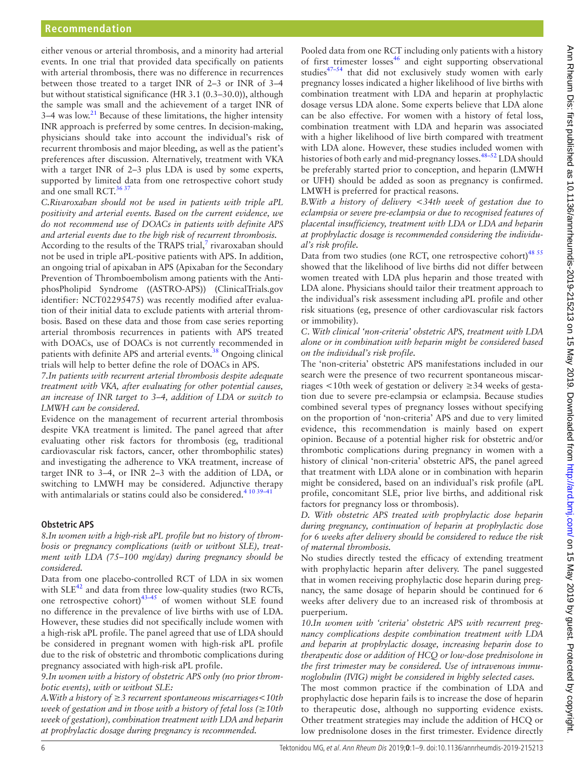either venous or arterial thrombosis, and a minority had arterial events. In one trial that provided data specifically on patients with arterial thrombosis, there was no difference in recurrences between those treated to a target INR of 2–3 or INR of 3–4 but without statistical significance (HR 3.1 (0.3–30.0)), although the sample was small and the achievement of a target INR of  $3-4$  was low.<sup>21</sup> Because of these limitations, the higher intensity INR approach is preferred by some centres. In decision-making, physicians should take into account the individual's risk of recurrent thrombosis and major bleeding, as well as the patient's preferences after discussion. Alternatively, treatment with VKA with a target INR of 2–3 plus LDA is used by some experts, supported by limited data from one retrospective cohort study and one small RCT.<sup>[36 37](#page-8-8)</sup>

*C.Rivaroxaban should not be used in patients with triple aPL positivity and arterial events. Based on the current evidence, we do not recommend use of DOACs in patients with definite APS and arterial events due to the high risk of recurrent thrombosis.*

According to the results of the TRAPS trial, $^7$  $^7$  rivaroxaban should not be used in triple aPL-positive patients with APS. In addition, an ongoing trial of apixaban in APS (Apixaban for the Secondary Prevention of Thromboembolism among patients with the AntiphosPholipid Syndrome ((ASTRO-APS)) (ClinicalTrials.gov identifier: NCT02295475) was recently modified after evaluation of their initial data to exclude patients with arterial thrombosis. Based on these data and those from case series reporting arterial thrombosis recurrences in patients with APS treated with DOACs, use of DOACs is not currently recommended in patients with definite APS and arterial events.<sup>38</sup> Ongoing clinical trials will help to better define the role of DOACs in APS.

*7.In patients with recurrent arterial thrombosis despite adequate treatment with VKA, after evaluating for other potential causes, an increase of INR target to 3–4, addition of LDA or switch to LMWH can be considered.*

Evidence on the management of recurrent arterial thrombosis despite VKA treatment is limited. The panel agreed that after evaluating other risk factors for thrombosis (eg, traditional cardiovascular risk factors, cancer, other thrombophilic states) and investigating the adherence to VKA treatment, increase of target INR to 3–4, or INR 2–3 with the addition of LDA, or switching to LMWH may be considered. Adjunctive therapy with antimalarials or statins could also be considered.<sup>4 10 39–</sup>

# **Obstetric APS**

*8.In women with a high-risk aPL profile but no history of thrombosis or pregnancy complications (with or without SLE), treatment with LDA (75–100 mg/day) during pregnancy should be considered.*

Data from one placebo-controlled RCT of LDA in six women with  $SLE^{42}$  $SLE^{42}$  $SLE^{42}$  and data from three low-quality studies (two RCTs, one retrospective cohort) $43-45$  of women without SLE found no difference in the prevalence of live births with use of LDA. However, these studies did not specifically include women with a high-risk aPL profile. The panel agreed that use of LDA should be considered in pregnant women with high-risk aPL profile due to the risk of obstetric and thrombotic complications during pregnancy associated with high-risk aPL profile.

*9.In women with a history of obstetric APS only (no prior thrombotic events), with or without SLE:*

*A.With a history of ≥3 recurrent spontaneous miscarriages<10th week of gestation and in those with a history of fetal loss (≥10th week of gestation), combination treatment with LDA and heparin at prophylactic dosage during pregnancy is recommended.*

Pooled data from one RCT including only patients with a history of first trimester losses<sup>[46](#page-8-12)</sup> and eight supporting observational studies $47-54$  that did not exclusively study women with early pregnancy losses indicated a higher likelihood of live births with combination treatment with LDA and heparin at prophylactic dosage versus LDA alone. Some experts believe that LDA alone can be also effective. For women with a history of fetal loss, combination treatment with LDA and heparin was associated with a higher likelihood of live birth compared with treatment with LDA alone. However, these studies included women with histories of both early and mid-pregnancy losses.  $48-52$  LDA should be preferably started prior to conception, and heparin (LMWH or UFH) should be added as soon as pregnancy is confirmed. LMWH is preferred for practical reasons.

*B.With a history of delivery <34th week of gestation due to eclampsia or severe pre-eclampsia or due to recognised features of placental insufficiency, treatment with LDA or LDA and heparin at prophylactic dosage is recommended considering the individual's risk profile.*

Data from two studies (one RCT, one retrospective cohort)<sup>48 55</sup> showed that the likelihood of live births did not differ between women treated with LDA plus heparin and those treated with LDA alone. Physicians should tailor their treatment approach to the individual's risk assessment including aPL profile and other risk situations (eg, presence of other cardiovascular risk factors or immobility).

## *C*. *With clinical 'non-criteria' obstetric APS, treatment with LDA alone or in combination with heparin might be considered based on the individual's risk profile.*

The 'non-criteria' obstetric APS manifestations included in our search were the presence of two recurrent spontaneous miscarriages <10th week of gestation or delivery ≥34 weeks of gestation due to severe pre-eclampsia or eclampsia. Because studies combined several types of pregnancy losses without specifying on the proportion of 'non-criteria' APS and due to very limited evidence, this recommendation is mainly based on expert opinion. Because of a potential higher risk for obstetric and/or thrombotic complications during pregnancy in women with a history of clinical 'non-criteria' obstetric APS, the panel agreed that treatment with LDA alone or in combination with heparin might be considered, based on an individual's risk profile (aPL profile, concomitant SLE, prior live births, and additional risk factors for pregnancy loss or thrombosis).

*D. With obstetric APS treated with prophylactic dose heparin during pregnancy, continuation of heparin at prophylactic dose for 6 weeks after delivery should be considered to reduce the risk of maternal thrombosis.*

No studies directly tested the efficacy of extending treatment with prophylactic heparin after delivery. The panel suggested that in women receiving prophylactic dose heparin during pregnancy, the same dosage of heparin should be continued for 6 weeks after delivery due to an increased risk of thrombosis at puerperium.

*10.In women with 'criteria' obstetric APS with recurrent pregnancy complications despite combination treatment with LDA and heparin at prophylactic dosage, increasing heparin dose to therapeutic dose or addition of HCQ or low-dose prednisolone in the first trimester may be considered. Use of intravenous immunoglobulin (IVIG) might be considered in highly selected cases.*

The most common practice if the combination of LDA and prophylactic dose heparin fails is to increase the dose of heparin to therapeutic dose, although no supporting evidence exists. Other treatment strategies may include the addition of HCQ or low prednisolone doses in the first trimester. Evidence directly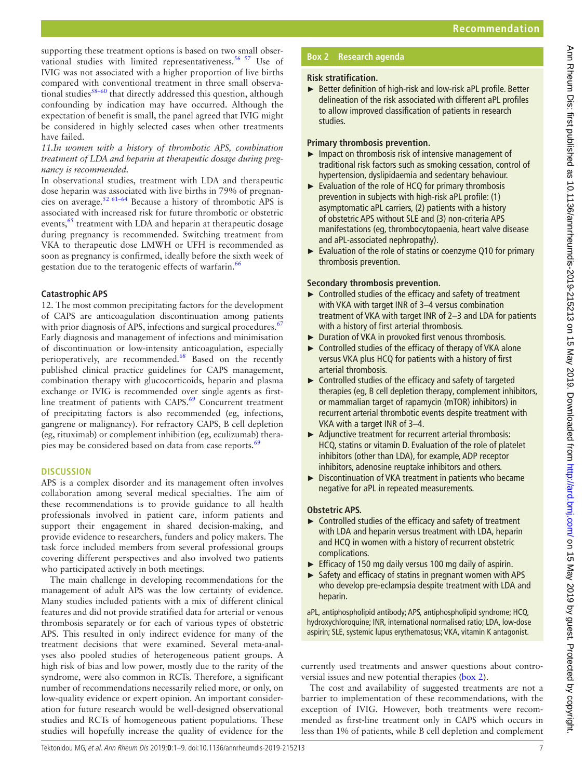supporting these treatment options is based on two small observational studies with limited representativeness.<sup>56 57</sup> Use of IVIG was not associated with a higher proportion of live births compared with conventional treatment in three small observa-tional studies<sup>[58–60](#page-8-16)</sup> that directly addressed this question, although confounding by indication may have occurred. Although the expectation of benefit is small, the panel agreed that IVIG might be considered in highly selected cases when other treatments have failed.

*11.In women with a history of thrombotic APS, combination treatment of LDA and heparin at therapeutic dosage during pregnancy is recommended.*

In observational studies, treatment with LDA and therapeutic dose heparin was associated with live births in 79% of pregnancies on average.[52 61–64](#page-8-17) Because a history of thrombotic APS is associated with increased risk for future thrombotic or obstetric events,<sup>[65](#page-8-18)</sup> treatment with LDA and heparin at therapeutic dosage during pregnancy is recommended. Switching treatment from VKA to therapeutic dose LMWH or UFH is recommended as soon as pregnancy is confirmed, ideally before the sixth week of gestation due to the teratogenic effects of warfarin.<sup>66</sup>

# **Catastrophic APS**

12. The most common precipitating factors for the development of CAPS are anticoagulation discontinuation among patients with prior diagnosis of APS, infections and surgical procedures.<sup>[67](#page-8-20)</sup> Early diagnosis and management of infections and minimisation of discontinuation or low-intensity anticoagulation, especially perioperatively, are recommended.<sup>[68](#page-8-21)</sup> Based on the recently published clinical practice guidelines for CAPS management, combination therapy with glucocorticoids, heparin and plasma exchange or IVIG is recommended over single agents as firstline treatment of patients with  $CAPS.69$  $CAPS.69$  Concurrent treatment of precipitating factors is also recommended (eg, infections, gangrene or malignancy). For refractory CAPS, B cell depletion (eg, rituximab) or complement inhibition (eg, eculizumab) therapies may be considered based on data from case reports.<sup>6</sup>

# **Discussion**

APS is a complex disorder and its management often involves collaboration among several medical specialties. The aim of these recommendations is to provide guidance to all health professionals involved in patient care, inform patients and support their engagement in shared decision-making, and provide evidence to researchers, funders and policy makers. The task force included members from several professional groups covering different perspectives and also involved two patients who participated actively in both meetings.

The main challenge in developing recommendations for the management of adult APS was the low certainty of evidence. Many studies included patients with a mix of different clinical features and did not provide stratified data for arterial or venous thrombosis separately or for each of various types of obstetric APS. This resulted in only indirect evidence for many of the treatment decisions that were examined. Several meta-analyses also pooled studies of heterogeneous patient groups. A high risk of bias and low power, mostly due to the rarity of the syndrome, were also common in RCTs. Therefore, a significant number of recommendations necessarily relied more, or only, on low-quality evidence or expert opinion. An important consideration for future research would be well-designed observational studies and RCTs of homogeneous patient populations. These studies will hopefully increase the quality of evidence for the

# **Box 2 Research agenda**

# <span id="page-6-0"></span>**Risk stratification.**

► Better definition of high-risk and low-risk aPL profile. Better delineation of the risk associated with different aPL profiles to allow improved classification of patients in research studies.

# **Primary thrombosis prevention.**

- $\blacktriangleright$  Impact on thrombosis risk of intensive management of traditional risk factors such as smoking cessation, control of hypertension, dyslipidaemia and sedentary behaviour.
- ► Evaluation of the role of HCQ for primary thrombosis prevention in subjects with high-risk aPL profile: (1) asymptomatic aPL carriers, (2) patients with a history of obstetric APS without SLE and (3) non-criteria APS manifestations (eg, thrombocytopaenia, heart valve disease and aPL-associated nephropathy).
- ► Evaluation of the role of statins or coenzyme Q10 for primary thrombosis prevention.

# **Secondary thrombosis prevention.**

- ► Controlled studies of the efficacy and safety of treatment with VKA with target INR of 3–4 versus combination treatment of VKA with target INR of 2–3 and LDA for patients with a history of first arterial thrombosis.
- ► Duration of VKA in provoked first venous thrombosis.
- ► Controlled studies of the efficacy of therapy of VKA alone versus VKA plus HCQ for patients with a history of first arterial thrombosis.
- ► Controlled studies of the efficacy and safety of targeted therapies (eg, B cell depletion therapy, complement inhibitors, or mammalian target of rapamycin (mTOR) inhibitors) in recurrent arterial thrombotic events despite treatment with VKA with a target INR of 3–4.
- ► Adjunctive treatment for recurrent arterial thrombosis: HCQ, statins or vitamin D. Evaluation of the role of platelet inhibitors (other than LDA), for example, ADP receptor inhibitors, adenosine reuptake inhibitors and others.
- ► Discontinuation of VKA treatment in patients who became negative for aPL in repeated measurements.

# **Obstetric APS.**

- ► Controlled studies of the efficacy and safety of treatment with LDA and heparin versus treatment with LDA, heparin and HCQ in women with a history of recurrent obstetric complications.
- ► Efficacy of 150 mg daily versus 100 mg daily of aspirin.
- ► Safety and efficacy of statins in pregnant women with APS who develop pre-eclampsia despite treatment with LDA and heparin.

aPL, antiphospholipid antibody; APS, antiphospholipid syndrome; HCQ, hydroxychloroquine; INR, international normalised ratio; LDA, low-dose aspirin; SLE, systemic lupus erythematosus; VKA, vitamin K antagonist.

currently used treatments and answer questions about controversial issues and new potential therapies [\(box](#page-6-0) 2).

The cost and availability of suggested treatments are not a barrier to implementation of these recommendations, with the exception of IVIG. However, both treatments were recommended as first-line treatment only in CAPS which occurs in less than 1% of patients, while B cell depletion and complement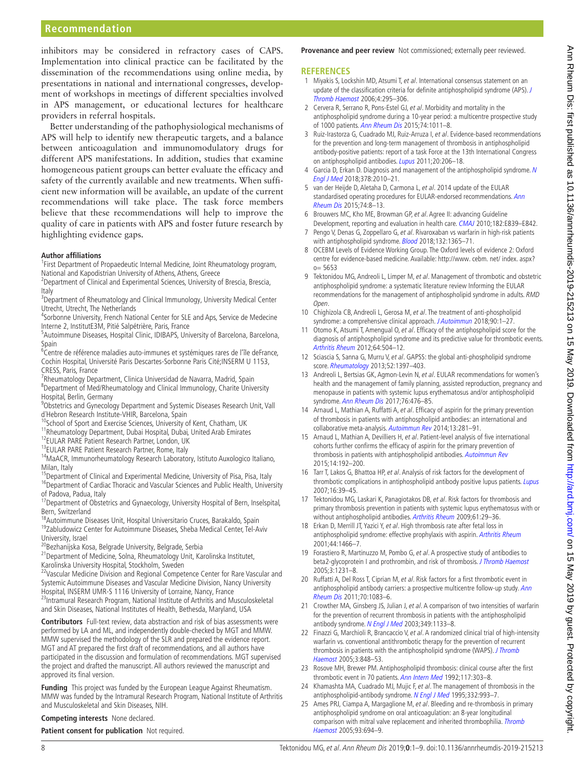# **Recommendation**

inhibitors may be considered in refractory cases of CAPS. Implementation into clinical practice can be facilitated by the dissemination of the recommendations using online media, by presentations in national and international congresses, development of workshops in meetings of different specialties involved in APS management, or educational lectures for healthcare providers in referral hospitals.

Better understanding of the pathophysiological mechanisms of APS will help to identify new therapeutic targets, and a balance between anticoagulation and immunomodulatory drugs for different APS manifestations. In addition, studies that examine homogeneous patient groups can better evaluate the efficacy and safety of the currently available and new treatments. When sufficient new information will be available, an update of the current recommendations will take place. The task force members believe that these recommendations will help to improve the quality of care in patients with APS and foster future research by highlighting evidence gaps.

#### **Author affiliations**

<sup>1</sup>First Department of Propaedeutic Internal Medicine, Joint Rheumatology program, National and Kapodistrian University of Athens, Athens, Greece

- <sup>2</sup> Department of Clinical and Experimental Sciences, University of Brescia, Brescia, Italy
- <sup>3</sup>Department of Rheumatology and Clinical Immunology, University Medical Center Utrecht, Utrecht, The Netherlands
- <sup>4</sup>Sorbonne University, French National Center for SLE and Aps, Service de Medecine Interne 2, InstitutE3M, Pitié Salpétrière, Paris, France

5 Autoimmune Diseases, Hospital Clinic, IDIBAPS, University of Barcelona, Barcelona,

Spain 6 Centre de référence maladies auto-immunes et systémiques rares de l'île deFrance, Cochin Hospital, Université Paris Descartes-Sorbonne Paris Cité;INSERM U 1153, CRESS, Paris, France

<sup>7</sup> Rheumatology Department, Clinica Universidad de Navarra, Madrid, Spain <sup>8</sup>Department of Med/Rheumatology and Clinical Immunology, Charite University Hospital, Berlin, Germany

<sup>9</sup>Obstetrics and Gynecology Department and Systemic Diseases Research Unit, Vall d´Hebron Research Institute-VHIR, Barcelona, Spain

<sup>10</sup>School of Sport and Exercise Sciences, University of Kent, Chatham, UK

11Rheumatology Department, Dubai Hospital, Dubai, United Arab Emirates

<sup>12</sup>EULAR PARE Patient Research Partner, London, UK 13EULAR PARE Patient Research Partner, Rome, Italy

<sup>14</sup>MaACR, Immunorheumatology Research Laboratory, Istituto Auxologico Italiano, Milan, Italy

<sup>15</sup>Department of Clinical and Experimental Medicine, University of Pisa, Pisa, Italy <sup>16</sup>Department of Cardiac Thoracic and Vascular Sciences and Public Health, University

of Padova, Padua, Italy<br><sup>17</sup>Department of Obstetrics and Gynaecology, University Hospital of Bern, Inselspital, Bern, Switzerland

<sup>18</sup>Autoimmune Diseases Unit, Hospital Universitario Cruces, Barakaldo, Spain <sup>19</sup>Zabludowicz Center for Autoimmune Diseases, Sheba Medical Center, Tel-Aviv University, Israel

<sup>20</sup>Bezhanijska Kosa, Belgrade University, Belgrade, Serbia

<sup>21</sup>Department of Medicine, Solna, Rheumatology Unit, Karolinska Institutet,

Karolinska University Hospital, Stockholm, Sweden<br><sup>22</sup>Vascular Medicine Division and Regional Competence Center for Rare Vascular and Systemic Autoimmune Diseases and Vascular Medicine Division, Nancy University Hospital, INSERM UMR-S 1116 University of Lorraine, Nancy, France <sup>23</sup>Intramural Research Program, National Institute of Arthritis and Musculoskeletal and Skin Diseases, National Institutes of Health, Bethesda, Maryland, USA

**Contributors** Full-text review, data abstraction and risk of bias assessments were performed by LA and ML, and independently double-checked by MGT and MMW. MMW supervised the methodology of the SLR and prepared the evidence report. MGT and AT prepared the first draft of recommendations, and all authors have participated in the discussion and formulation of recommendations. MGT supervised the project and drafted the manuscript. All authors reviewed the manuscript and approved its final version.

**Funding** This project was funded by the European League Against Rheumatism. MMW was funded by the Intramural Research Program, National Institute of Arthritis and Musculoskeletal and Skin Diseases, NIH.

## **Competing interests** None declared.

**Patient consent for publication** Not required.

**Provenance and peer review** Not commissioned; externally peer reviewed.

#### **References**

- <span id="page-7-0"></span>1 Miyakis S, Lockshin MD, Atsumi T, et al. International consensus statement on an update of the classification criteria for definite antiphospholipid syndrome (APS). [J](http://dx.doi.org/10.1111/j.1538-7836.2006.01753.x)  [Thromb Haemost](http://dx.doi.org/10.1111/j.1538-7836.2006.01753.x) 2006;4:295–306.
- 2 Cervera R, Serrano R, Pons-Estel GJ, et al. Morbidity and mortality in the antiphospholipid syndrome during a 10-year period: a multicentre prospective study of 1000 patients. [Ann Rheum Dis](http://dx.doi.org/10.1136/annrheumdis-2013-204838) 2015;74:1011–8.
- <span id="page-7-1"></span>3 Ruiz-Irastorza G, Cuadrado MJ, Ruiz-Arruza I, et al. Evidence-based recommendations for the prevention and long-term management of thrombosis in antiphospholipid antibody-positive patients: report of a task Force at the 13th International Congress on antiphospholipid antibodies. [Lupus](http://dx.doi.org/10.1177/0961203310395803) 2011;20:206–18.
- <span id="page-7-7"></span>4 Garcia D, Erkan D. Diagnosis and management of the antiphospholipid syndrome. N [Engl J Med](http://dx.doi.org/10.1056/NEJMra1705454) 2018;378:2010–21.
- <span id="page-7-2"></span>5 van der Heijde D, Aletaha D, Carmona L, et al. 2014 update of the EULAR standardised operating procedures for EULAR-endorsed recommendations. Ann [Rheum Dis](http://dx.doi.org/10.1136/annrheumdis-2014-206350) 2015;74:8–13.
- <span id="page-7-3"></span>6 Brouwers MC, Kho ME, Browman GP, et al. Agree II: advancing Guideline Development, reporting and evaluation in health care. [CMAJ](http://dx.doi.org/10.1503/cmaj.090449) 2010;182:E839-E842.
- <span id="page-7-4"></span>7 Pengo V, Denas G, Zoppellaro G, et al. Rivaroxaban vs warfarin in high-risk patients with antiphospholipid syndrome. **[Blood](http://dx.doi.org/10.1182/blood-2018-04-848333)** 2018;132:1365-71.
- <span id="page-7-5"></span>8 OCEBM Levels of Evidence Working Group. The Oxford levels of evidence 2: Oxford centre for evidence-based medicine. Available: [http://www. cebm. net/ index. aspx?](http://www.%20cebm.%20net/%20index.%20aspx?%20o=%205653)  [o= 5653](http://www.%20cebm.%20net/%20index.%20aspx?%20o=%205653)
- <span id="page-7-6"></span>9 Tektonidou MG, Andreoli L, Limper M, et al. Management of thrombotic and obstetric antiphospholipid syndrome: a systematic literature review Informing the EULAR recommendations for the management of antiphospholipid syndrome in adults. RMD Open.
- 10 Chighizola CB, Andreoli L, Gerosa M, et al. The treatment of anti-phospholipid syndrome: a comprehensive clinical approach. [J Autoimmun](http://dx.doi.org/10.1016/j.jaut.2018.02.003) 2018;90:1-27.
- <span id="page-7-8"></span>11 Otomo K, Atsumi T, Amengual O, et al. Efficacy of the antiphospholipid score for the diagnosis of antiphospholipid syndrome and its predictive value for thrombotic events. [Arthritis Rheum](http://dx.doi.org/10.1002/art.33340) 2012;64:504–12.
- <span id="page-7-9"></span>12 Sciascia S, Sanna G, Murru V, et al. GAPSS: the global anti-phospholipid syndrome score. [Rheumatology](http://dx.doi.org/10.1093/rheumatology/kes388) 2013;52:1397–403.
- <span id="page-7-10"></span>13 Andreoli L, Bertsias GK, Agmon-Levin N, et al. EULAR recommendations for women's health and the management of family planning, assisted reproduction, pregnancy and menopause in patients with systemic lupus erythematosus and/or antiphospholipid syndrome. [Ann Rheum Dis](http://dx.doi.org/10.1136/annrheumdis-2016-209770) 2017;76:476-85.
- <span id="page-7-11"></span>14 Arnaud L, Mathian A, Ruffatti A, et al. Efficacy of aspirin for the primary prevention of thrombosis in patients with antiphospholipid antibodies: an international and collaborative meta-analysis. [Autoimmun Rev](http://dx.doi.org/10.1016/j.autrev.2013.10.014) 2014;13:281-91.
- <span id="page-7-12"></span>15 Arnaud L, Mathian A, Devilliers H, et al. Patient-level analysis of five international cohorts further confirms the efficacy of aspirin for the primary prevention of thrombosis in patients with antiphospholipid antibodies. [Autoimmun Rev](http://dx.doi.org/10.1016/j.autrev.2014.10.019) 2015;14:192–200.
- <span id="page-7-13"></span>16 Tarr T, Lakos G, Bhattoa HP, et al. Analysis of risk factors for the development of thrombotic complications in antiphospholipid antibody positive lupus patients. [Lupus](http://dx.doi.org/10.1177/0961203306074767) 2007;16:39–45.
- 17 Tektonidou MG, Laskari K, Panagiotakos DB, et al. Risk factors for thrombosis and primary thrombosis prevention in patients with systemic lupus erythematosus with or without antiphospholipid antibodies. [Arthritis Rheum](http://dx.doi.org/10.1002/art.24232) 2009;61:29-36.
- <span id="page-7-14"></span>18 Erkan D, Merrill JT, Yazici Y, et al. High thrombosis rate after fetal loss in antiphospholipid syndrome: effective prophylaxis with aspirin. [Arthritis Rheum](http://dx.doi.org/10.1002/1529-0131(200106)44:6<1466::AID-ART242>3.0.CO;2-C) 2001;44:1466–7.
- 19 Forastiero R, Martinuzzo M, Pombo G, et al. A prospective study of antibodies to beta2-glycoprotein I and prothrombin, and risk of thrombosis. *[J Thromb Haemost](http://dx.doi.org/10.1111/j.1538-7836.2005.01295.x)* 2005;3:1231–8.
- 20 Ruffatti A, Del Ross T, Ciprian M, et al. Risk factors for a first thrombotic event in antiphospholipid antibody carriers: a prospective multicentre follow-up study. Ann [Rheum Dis](http://dx.doi.org/10.1136/ard.2010.142042) 2011;70:1083–6.
- <span id="page-7-15"></span>21 Crowther MA, Ginsberg JS, Julian J, et al. A comparison of two intensities of warfarin for the prevention of recurrent thrombosis in patients with the antiphospholipid antibody syndrome. [N Engl J Med](http://dx.doi.org/10.1056/NEJMoa035241) 2003;349:1133-8.
- 22 Finazzi G, Marchioli R, Brancaccio V, et al. A randomized clinical trial of high-intensity warfarin vs. conventional antithrombotic therapy for the prevention of recurrent thrombosis in patients with the antiphospholipid syndrome (WAPS). J Thromb [Haemost](http://dx.doi.org/10.1111/j.1538-7836.2005.01340.x) 2005;3:848–53.
- 23 Rosove MH, Brewer PM. Antiphospholipid thrombosis: clinical course after the first thrombotic event in 70 patients. [Ann Intern Med](http://dx.doi.org/10.7326/0003-4819-117-4-303) 1992;117:303-8.
- 24 Khamashta MA, Cuadrado MJ, Mujic F, et al. The management of thrombosis in the antiphospholipid-antibody syndrome. [N Engl J Med](http://dx.doi.org/10.1056/NEJM199504133321504) 1995;332:993-7.
- 25 Ames PRJ, Ciampa A, Margaglione M, et al. Bleeding and re-thrombosis in primary antiphospholipid syndrome on oral anticoagulation: an 8-year longitudinal comparison with mitral valve replacement and inherited thrombophilia. [Thromb](http://dx.doi.org/10.1160/TH04-11-0723)  [Haemost](http://dx.doi.org/10.1160/TH04-11-0723) 2005;93:694–9.